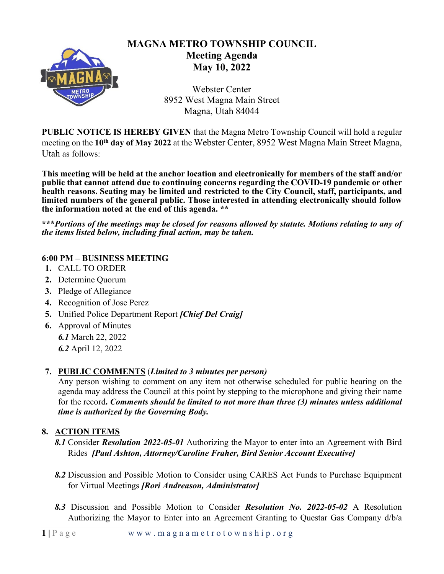

# **MAGNA METRO TOWNSHIP COUNCIL Meeting Agenda May 10, 2022**

Webster Center 8952 West Magna Main Street Magna, Utah 84044

**PUBLIC NOTICE IS HEREBY GIVEN** that the Magna Metro Township Council will hold a regular meeting on the **10th day of May 2022** at the Webster Center, 8952 West Magna Main Street Magna, Utah as follows:

**This meeting will be held at the anchor location and electronically for members of the staff and/or public that cannot attend due to continuing concerns regarding the COVID-19 pandemic or other health reasons. Seating may be limited and restricted to the City Council, staff, participants, and limited numbers of the general public. Those interested in attending electronically should follow the information noted at the end of this agenda. \*\***

**\*\*\****Portions of the meetings may be closed for reasons allowed by statute. Motions relating to any of the items listed below, including final action, may be taken.*

## **6:00 PM – BUSINESS MEETING**

- **1.** CALL TO ORDER
- **2.** Determine Quorum
- **3.** Pledge of Allegiance
- **4.** Recognition of Jose Perez
- **5.** Unified Police Department Report *[Chief Del Craig]*
- **6.** Approval of Minutes *6.1* March 22, 2022 *6.2* April 12, 2022

## **7. PUBLIC COMMENTS** (*Limited to 3 minutes per person)*

Any person wishing to comment on any item not otherwise scheduled for public hearing on the agenda may address the Council at this point by stepping to the microphone and giving their name for the record**.** *Comments should be limited to not more than three (3) minutes unless additional time is authorized by the Governing Body.*

## **8. ACTION ITEMS**

- *8.1* Consider *Resolution 2022-05-01* Authorizing the Mayor to enter into an Agreement with Bird Rides *[Paul Ashton, Attorney/Caroline Fraher, Bird Senior Account Executive]*
- *8.2* Discussion and Possible Motion to Consider using CARES Act Funds to Purchase Equipment for Virtual Meetings *[Rori Andreason, Administrator]*
- *8.3* Discussion and Possible Motion to Consider *Resolution No. 2022-05-02* A Resolution Authorizing the Mayor to Enter into an Agreement Granting to Questar Gas Company d/b/a